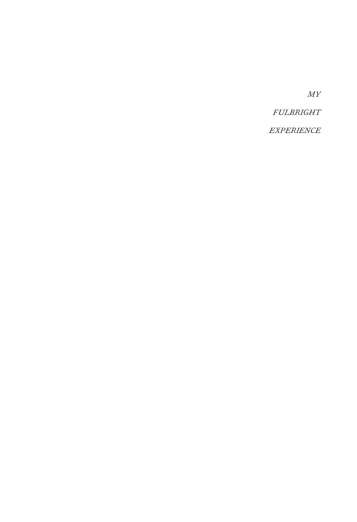*MY*

*FULBRIGHT*

*EXPERIENCE*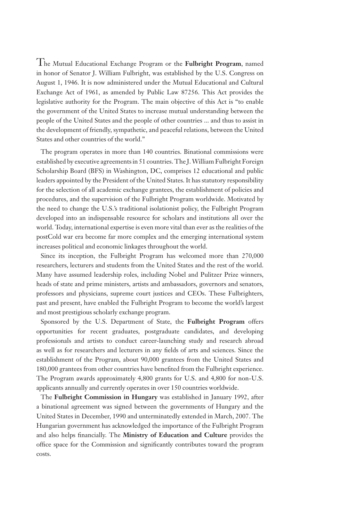The Mutual Educational Exchange Program or the **Fulbright Program**, named in honor of Senator J. William Fulbright, was established by the U.S. Congress on August 1, 1946. It is now administered under the Mutual Educational and Cultural Exchange Act of 1961, as amended by Public Law 87256. This Act provides the legislative authority for the Program. The main objective of this Act is "to enable the government of the United States to increase mutual understanding between the people of the United States and the people of other countries ... and thus to assist in the development of friendly, sympathetic, and peaceful relations, between the United States and other countries of the world."

The program operates in more than 140 countries. Binational commissions were established by executive agreements in 51 countries. The J. William Fulbright Foreign Scholarship Board (BFS) in Washington, DC, comprises 12 educational and public leaders appointed by the President of the United States. It has statutory responsibility for the selection of all academic exchange grantees, the establishment of policies and procedures, and the supervision of the Fulbright Program worldwide. Motivated by the need to change the U.S.'s traditional isolationist policy, the Fulbright Program developed into an indispensable resource for scholars and institutions all over the world. Today, international expertise is even more vital than ever as the realities of the postCold war era become far more complex and the emerging international system increases political and economic linkages throughout the world.

Since its inception, the Fulbright Program has welcomed more than 270,000 researchers, lecturers and students from the United States and the rest of the world. Many have assumed leadership roles, including Nobel and Pulitzer Prize winners, heads of state and prime ministers, artists and ambassadors, governors and senators, professors and physicians, supreme court justices and CEOs. These Fulbrighters, past and present, have enabled the Fulbright Program to become the world's largest and most prestigious scholarly exchange program.

Sponsored by the U.S. Department of State, the **Fulbright Program** offers opportunities for recent graduates, postgraduate candidates, and developing professionals and artists to conduct career-launching study and research abroad as well as for researchers and lecturers in any fields of arts and sciences. Since the establishment of the Program, about 90,000 grantees from the United States and 180,000 grantees from other countries have benefited from the Fulbright experience. The Program awards approximately 4,800 grants for U.S. and 4,800 for non-U.S. applicants annually and currently operates in over 150 countries worldwide.

The **Fulbright Commission in Hungary** was established in January 1992, after a binational agreement was signed between the governments of Hungary and the United States in December, 1990 and unterminatedly extended in March, 2007. The Hungarian government has acknowledged the importance of the Fulbright Program and also helps financially. The **Ministry of Education and Culture** provides the office space for the Commission and significantly contributes toward the program costs.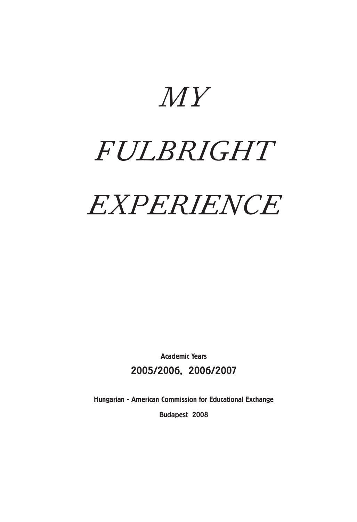*MY*

# *FULBRIGHT*

# *EXPERIENCE*

Academic Years 2005/2006, 2006/2007

Hungarian - American Commission for Educational Exchange

Budapest 2008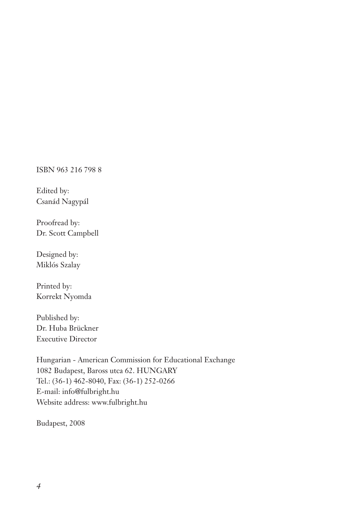ISBN 963 216 798 8

Edited by: Csanád Nagypál

Proofread by: Dr. Scott Campbell

Designed by: Miklós Szalay

Printed by: Korrekt Nyomda

Published by: Dr. Huba Brückner Executive Director

Hungarian - American Commission for Educational Exchange 1082 Budapest, Baross utca 62. HUNGARY Tel.: (36-1) 462-8040, Fax: (36-1) 252-0266 E-mail: info@fulbright.hu Website address: www.fulbright.hu

Budapest, 2008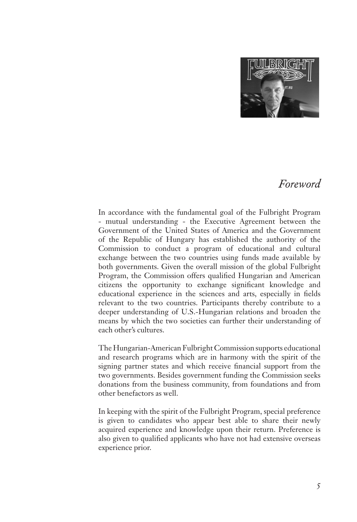

#### *Foreword*

In accordance with the fundamental goal of the Fulbright Program - mutual understanding - the Executive Agreement between the Government of the United States of America and the Government of the Republic of Hungary has established the authority of the Commission to conduct a program of educational and cultural exchange between the two countries using funds made available by both governments. Given the overall mission of the global Fulbright Program, the Commission offers qualified Hungarian and American citizens the opportunity to exchange significant knowledge and educational experience in the sciences and arts, especially in fields relevant to the two countries. Participants thereby contribute to a deeper understanding of U.S.-Hungarian relations and broaden the means by which the two societies can further their understanding of each other's cultures.

The Hungarian-American Fulbright Commission supports educational and research programs which are in harmony with the spirit of the signing partner states and which receive financial support from the two governments. Besides government funding the Commission seeks donations from the business community, from foundations and from other benefactors as well.

In keeping with the spirit of the Fulbright Program, special preference is given to candidates who appear best able to share their newly acquired experience and knowledge upon their return. Preference is also given to qualified applicants who have not had extensive overseas experience prior.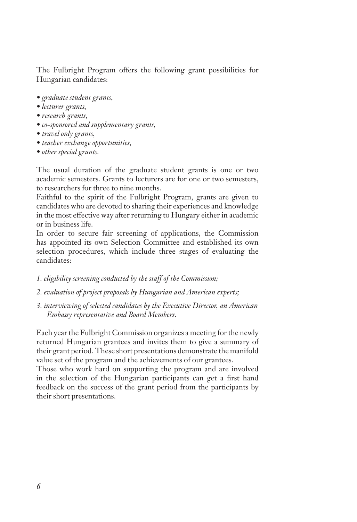The Fulbright Program offers the following grant possibilities for Hungarian candidates:

- *graduate student grants,*
- *lecturer grants,*
- *research grants,*
- *co-sponsored and supplementary grants,*
- *travel only grants,*
- *teacher exchange opportunities,*
- *other special grants.*

The usual duration of the graduate student grants is one or two academic semesters. Grants to lecturers are for one or two semesters, to researchers for three to nine months.

Faithful to the spirit of the Fulbright Program, grants are given to candidates who are devoted to sharing their experiences and knowledge in the most effective way after returning to Hungary either in academic or in business life.

In order to secure fair screening of applications, the Commission has appointed its own Selection Committee and established its own selection procedures, which include three stages of evaluating the candidates:

- *1. eligibility screening conducted by the staff of the Commission;*
- *2. evaluation of project proposals by Hungarian and American experts;*
- *3. interviewing of selected candidates by the Executive Director, an American Embassy representative and Board Members.*

Each year the Fulbright Commission organizes a meeting for the newly returned Hungarian grantees and invites them to give a summary of their grant period. These short presentations demonstrate the manifold value set of the program and the achievements of our grantees.

Those who work hard on supporting the program and are involved in the selection of the Hungarian participants can get a first hand feedback on the success of the grant period from the participants by their short presentations.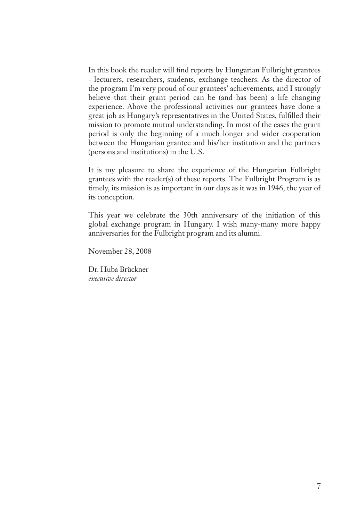In this book the reader will find reports by Hungarian Fulbright grantees - lecturers, researchers, students, exchange teachers. As the director of the program I'm very proud of our grantees' achievements, and I strongly believe that their grant period can be (and has been) a life changing experience. Above the professional activities our grantees have done a great job as Hungary's representatives in the United States, fulfilled their mission to promote mutual understanding. In most of the cases the grant period is only the beginning of a much longer and wider cooperation between the Hungarian grantee and his/her institution and the partners (persons and institutions) in the U.S.

It is my pleasure to share the experience of the Hungarian Fulbright grantees with the reader(s) of these reports. The Fulbright Program is as timely, its mission is as important in our days as it was in 1946, the year of its conception.

This year we celebrate the 30th anniversary of the initiation of this global exchange program in Hungary. I wish many-many more happy anniversaries for the Fulbright program and its alumni.

November 28, 2008

Dr. Huba Brückner *executive director*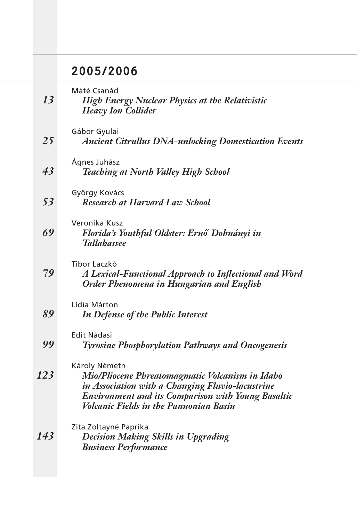### 2005/2006

| 13  | Máté Csanád<br><b>High Energy Nuclear Physics at the Relativistic</b><br><b>Heavy Ion Collider</b>                                                                                                                                 |
|-----|------------------------------------------------------------------------------------------------------------------------------------------------------------------------------------------------------------------------------------|
| 25  | Gábor Gyulai<br><b>Ancient Citrullus DNA-unlocking Domestication Events</b>                                                                                                                                                        |
| 43  | Ágnes Juhász<br><b>Teaching at North Valley High School</b>                                                                                                                                                                        |
| 53  | György Kovács<br><b>Research at Harvard Law School</b>                                                                                                                                                                             |
| 69  | Veronika Kusz<br>Florida's Youthful Oldster: Ernő Dohnányi in<br><b>Tallahassee</b>                                                                                                                                                |
| 79  | Tibor Laczkó<br>A Lexical-Functional Approach to Inflectional and Word<br><b>Order Phenomena in Hungarian and English</b>                                                                                                          |
| 89  | Lídia Márton<br>In Defense of the Public Interest                                                                                                                                                                                  |
| 99  | Edit Nádasi<br><b>Tyrosine Phosphorylation Pathways and Oncogenesis</b>                                                                                                                                                            |
| 123 | Károly Németh<br>Mio/Pliocene Phreatomagmatic Volcanism in Idaho<br>in Association with a Changing Fluvio-lacustrine<br><b>Environment and its Comparison with Young Basaltic</b><br><b>Volcanic Fields in the Pannonian Basin</b> |
| 143 | Zita Zoltayné Paprika<br><b>Decision Making Skills in Upgrading</b><br><b>Business Performance</b>                                                                                                                                 |